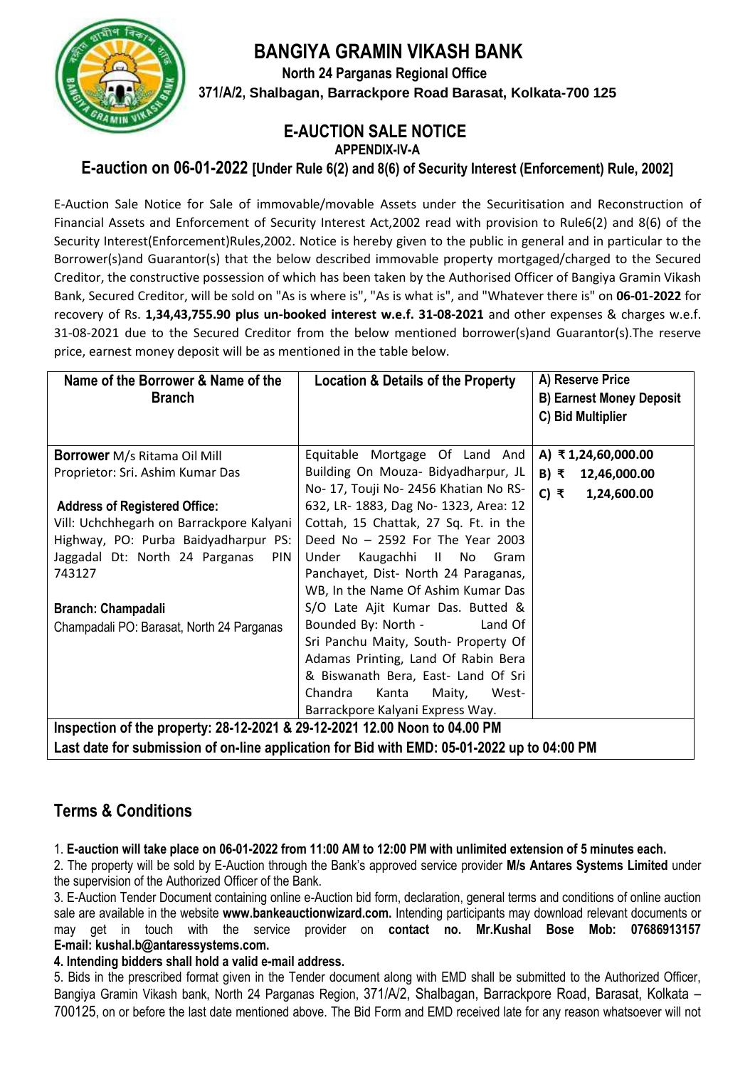**BANGIYA GRAMIN VIKASH BANK**



 **North 24 Parganas Regional Office 371/A/2, Shalbagan, Barrackpore Road Barasat, Kolkata-700 125**

## **E-AUCTION SALE NOTICE**

**APPENDIX-IV-A**

## **E-auction on 06-01-2022 [Under Rule 6(2) and 8(6) of Security Interest (Enforcement) Rule, 2002]**

E-Auction Sale Notice for Sale of immovable/movable Assets under the Securitisation and Reconstruction of Financial Assets and Enforcement of Security Interest Act,2002 read with provision to Rule6(2) and 8(6) of the Security Interest(Enforcement)Rules,2002. Notice is hereby given to the public in general and in particular to the Borrower(s)and Guarantor(s) that the below described immovable property mortgaged/charged to the Secured Creditor, the constructive possession of which has been taken by the Authorised Officer of Bangiya Gramin Vikash Bank, Secured Creditor, will be sold on "As is where is", "As is what is", and "Whatever there is" on **06-01-2022** for recovery of Rs. **1,34,43,755.90 plus un-booked interest w.e.f. 31-08-2021** and other expenses & charges w.e.f. 31-08-2021 due to the Secured Creditor from the below mentioned borrower(s)and Guarantor(s).The reserve price, earnest money deposit will be as mentioned in the table below.

| Name of the Borrower & Name of the<br><b>Branch</b>                                                                                                                         | <b>Location &amp; Details of the Property</b>                                                                                                                                                                                                                                 | A) Reserve Price<br><b>B) Earnest Money Deposit</b><br>C) Bid Multiplier |
|-----------------------------------------------------------------------------------------------------------------------------------------------------------------------------|-------------------------------------------------------------------------------------------------------------------------------------------------------------------------------------------------------------------------------------------------------------------------------|--------------------------------------------------------------------------|
| <b>Borrower</b> M/s Ritama Oil Mill                                                                                                                                         | Equitable Mortgage Of Land And                                                                                                                                                                                                                                                | A) ₹1,24,60,000.00                                                       |
| Proprietor: Sri. Ashim Kumar Das                                                                                                                                            | Building On Mouza- Bidyadharpur, JL                                                                                                                                                                                                                                           | B) ₹<br>12,46,000.00                                                     |
| <b>Address of Registered Office:</b><br>Vill: Uchchhegarh on Barrackpore Kalyani<br>Highway, PO: Purba Baidyadharpur PS:<br>Jaggadal Dt: North 24 Parganas<br>PIN<br>743127 | No- 17, Touji No- 2456 Khatian No RS-<br>632, LR- 1883, Dag No- 1323, Area: 12<br>Cottah, 15 Chattak, 27 Sq. Ft. in the<br>Deed No - 2592 For The Year 2003<br>Under<br>Kaugachhi II No<br>Gram<br>Panchayet, Dist- North 24 Paraganas,<br>WB, In the Name Of Ashim Kumar Das | C) ₹<br>1,24,600.00                                                      |
| Branch: Champadali<br>Champadali PO: Barasat, North 24 Parganas                                                                                                             | S/O Late Ajit Kumar Das. Butted &<br>Bounded By: North -<br>Land Of<br>Sri Panchu Maity, South- Property Of<br>Adamas Printing, Land Of Rabin Bera<br>& Biswanath Bera, East- Land Of Sri<br>Chandra<br>West-<br>Kanta<br>Maity,                                              |                                                                          |
|                                                                                                                                                                             | Barrackpore Kalyani Express Way.                                                                                                                                                                                                                                              |                                                                          |
| Inspection of the property: 28-12-2021 & 29-12-2021 12.00 Noon to 04.00 PM<br>Look deta fex aubraionian af an line annliaetian fex Did with EMD: 05.04.2022 un to 04.00 DM  |                                                                                                                                                                                                                                                                               |                                                                          |

**Last date for submission of on-line application for Bid with EMD: 05-01-2022 up to 04:00 PM**

## **Terms & Conditions**

1. **E-auction will take place on 06-01-2022 from 11:00 AM to 12:00 PM with unlimited extension of 5 minutes each.**

2. The property will be sold by E-Auction through the Bank's approved service provider **M/s Antares Systems Limited** under the supervision of the Authorized Officer of the Bank.

3. E-Auction Tender Document containing online e-Auction bid form, declaration, general terms and conditions of online auction sale are available in the website **www.bankeauctionwizard.com.** Intending participants may download relevant documents or may get in touch with the service provider on **contact no. Mr.Kushal Bose Mob: 07686913157 E-mail: kushal.b@antaressystems.com.**

**4. Intending bidders shall hold a valid e-mail address.**

5. Bids in the prescribed format given in the Tender document along with EMD shall be submitted to the Authorized Officer, Bangiya Gramin Vikash bank, North 24 Parganas Region, 371/A/2, Shalbagan, Barrackpore Road, Barasat, Kolkata – 700125, on or before the last date mentioned above. The Bid Form and EMD received late for any reason whatsoever will not